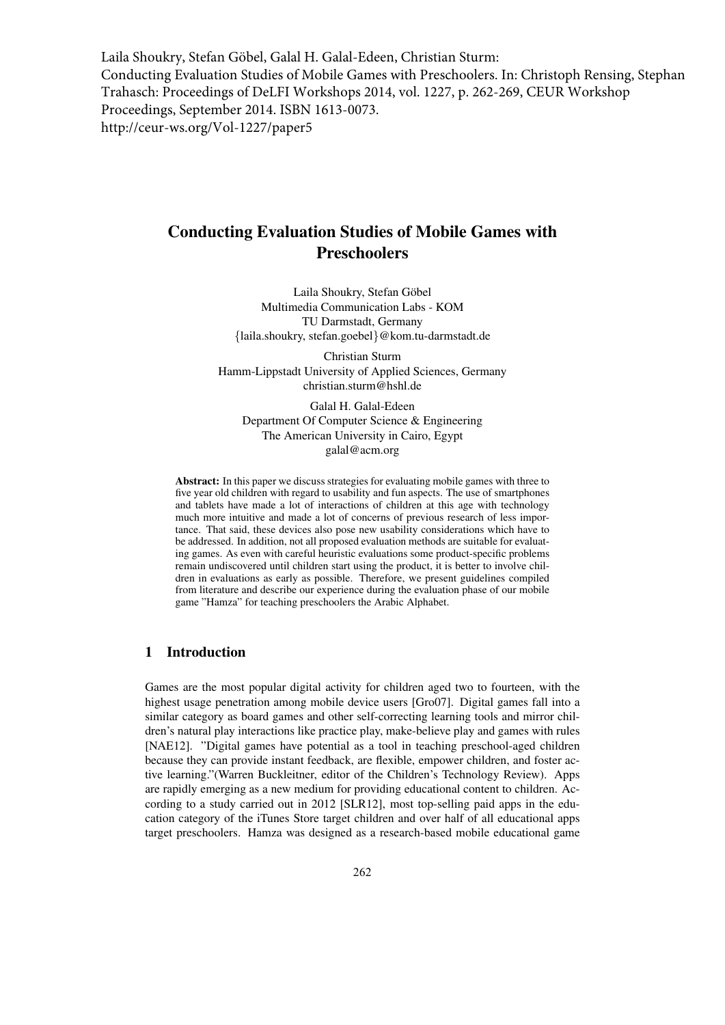Laila Shoukry, Stefan Göbel, Galal H. Galal-Edeen, Christian Sturm: Conducting Evaluation Studies of Mobile Games with Preschoolers. In: Christoph Rensing, Stephan Trahasch: Proceedings of DeLFI Workshops 2014, vol. 1227, p. 262-269, CEUR Workshop Proceedings, September 2014. ISBN 1613-0073. http://ceur-ws.org/Vol-1227/paper5

# Conducting Evaluation Studies of Mobile Games with Preschoolers

Laila Shoukry, Stefan Göbel Multimedia Communication Labs - KOM TU Darmstadt, Germany {laila.shoukry, stefan.goebel}@kom.tu-darmstadt.de

Christian Sturm Hamm-Lippstadt University of Applied Sciences, Germany christian.sturm@hshl.de

Galal H. Galal-Edeen Department Of Computer Science & Engineering The American University in Cairo, Egypt galal@acm.org

Abstract: In this paper we discuss strategies for evaluating mobile games with three to five year old children with regard to usability and fun aspects. The use of smartphones and tablets have made a lot of interactions of children at this age with technology much more intuitive and made a lot of concerns of previous research of less importance. That said, these devices also pose new usability considerations which have to be addressed. In addition, not all proposed evaluation methods are suitable for evaluating games. As even with careful heuristic evaluations some product-specific problems remain undiscovered until children start using the product, it is better to involve children in evaluations as early as possible. Therefore, we present guidelines compiled from literature and describe our experience during the evaluation phase of our mobile game "Hamza" for teaching preschoolers the Arabic Alphabet.

### 1 Introduction

Games are the most popular digital activity for children aged two to fourteen, with the highest usage penetration among mobile device users [Gro07]. Digital games fall into a similar category as board games and other self-correcting learning tools and mirror children's natural play interactions like practice play, make-believe play and games with rules [NAE12]. "Digital games have potential as a tool in teaching preschool-aged children because they can provide instant feedback, are flexible, empower children, and foster active learning."(Warren Buckleitner, editor of the Children's Technology Review). Apps are rapidly emerging as a new medium for providing educational content to children. According to a study carried out in 2012 [SLR12], most top-selling paid apps in the education category of the iTunes Store target children and over half of all educational apps target preschoolers. Hamza was designed as a research-based mobile educational game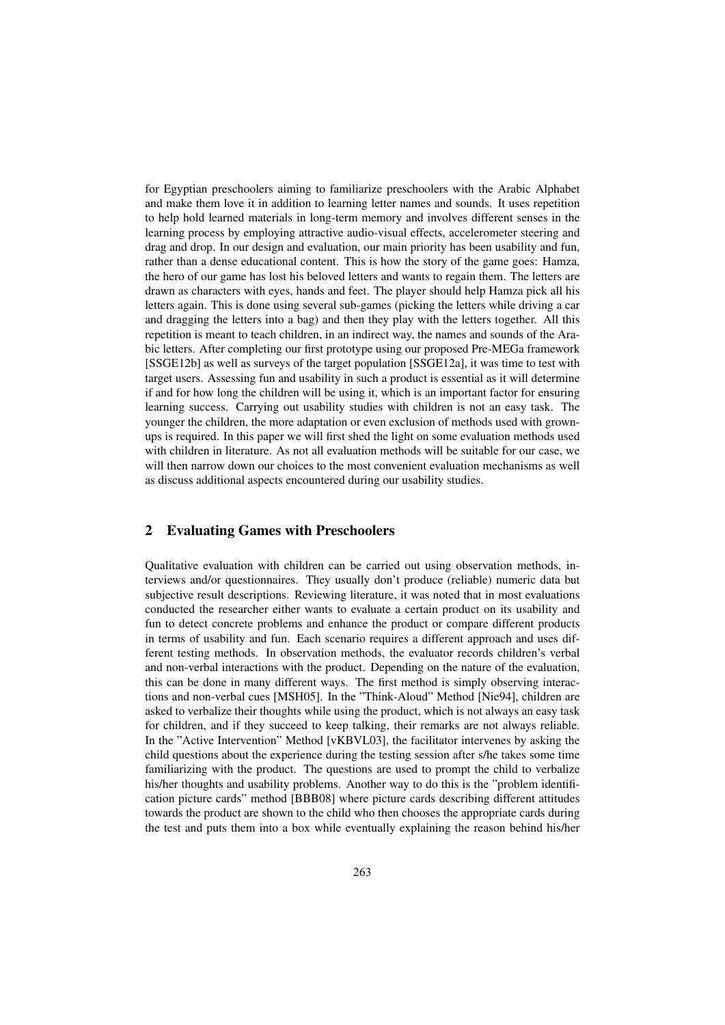for Egyptian preschoolers aiming to familiarize preschoolers with the Arabic Alphabet and make them love it in addition to learning letter names and sounds. It uses repetition to help hold learned materials in long-term memory and involves different senses in the learning process by employing attractive audio-visual effects, accelerometer steering and drag and drop. In our design and evaluation, our main priority has been usability and fun, rather than a dense educational content. This is how the story of the game goes: Hamza, the hero of our game has lost his beloved letters and wants to regain them. The letters are drawn as characters with eyes, hands and feet. The player should help Hamza pick all his letters again. This is done using several sub-games (picking the letters while driving a car and dragging the letters into a bag) and then they play with the letters together. All this repetition is meant to teach children, in an indirect way, the names and sounds of the Arabic letters. After completing our first prototype using our proposed Pre-MEGa framework [SSGE12b] as well as surveys of the target population [SSGE12a], it was time to test with target users. Assessing fun and usability in such a product is essential as it will determine if and for how long the children will be using it, which is an important factor for ensuring learning success. Carrying out usability studies with children is not an easy task. The younger the children, the more adaptation or even exclusion of methods used with grownups is required. In this paper we will first shed the light on some evaluation methods used with children in literature. As not all evaluation methods will be suitable for our case, we will then narrow down our choices to the most convenient evaluation mechanisms as well as discuss additional aspects encountered during our usability studies.

#### 2 Evaluating Games with Preschoolers

Qualitative evaluation with children can be carried out using observation methods, interviews and/or questionnaires. They usually don't produce (reliable) numeric data but subjective result descriptions. Reviewing literature, it was noted that in most evaluations conducted the researcher either wants to evaluate a certain product on its usability and fun to detect concrete problems and enhance the product or compare different products in terms of usability and fun. Each scenario requires a different approach and uses different testing methods. In observation methods, the evaluator records children's verbal and non-verbal interactions with the product. Depending on the nature of the evaluation, this can be done in many different ways. The first method is simply observing interactions and non-verbal cues [MSH05]. In the "Think-Aloud" Method [Nie94], children are asked to verbalize their thoughts while using the product, which is not always an easy task for children, and if they succeed to keep talking, their remarks are not always reliable. In the "Active Intervention" Method [vKBVL03], the facilitator intervenes by asking the child questions about the experience during the testing session after s/he takes some time familiarizing with the product. The questions are used to prompt the child to verbalize his/her thoughts and usability problems. Another way to do this is the "problem identification picture cards" method [BBB08] where picture cards describing different attitudes towards the product are shown to the child who then chooses the appropriate cards during the test and puts them into a box while eventually explaining the reason behind his/her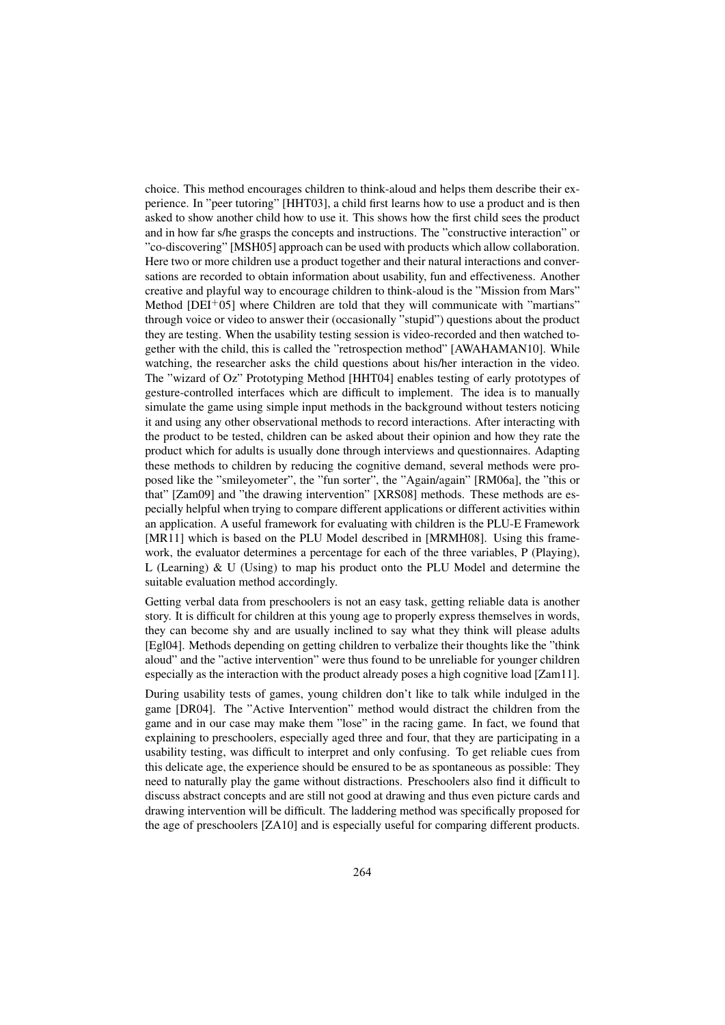choice. This method encourages children to think-aloud and helps them describe their experience. In "peer tutoring" [HHT03], a child first learns how to use a product and is then asked to show another child how to use it. This shows how the first child sees the product and in how far s/he grasps the concepts and instructions. The "constructive interaction" or "co-discovering" [MSH05] approach can be used with products which allow collaboration. Here two or more children use a product together and their natural interactions and conversations are recorded to obtain information about usability, fun and effectiveness. Another creative and playful way to encourage children to think-aloud is the "Mission from Mars" Method  $[DEI^+05]$  where Children are told that they will communicate with "martians" through voice or video to answer their (occasionally "stupid") questions about the product they are testing. When the usability testing session is video-recorded and then watched together with the child, this is called the "retrospection method" [AWAHAMAN10]. While watching, the researcher asks the child questions about his/her interaction in the video. The "wizard of Oz" Prototyping Method [HHT04] enables testing of early prototypes of gesture-controlled interfaces which are difficult to implement. The idea is to manually simulate the game using simple input methods in the background without testers noticing it and using any other observational methods to record interactions. After interacting with the product to be tested, children can be asked about their opinion and how they rate the product which for adults is usually done through interviews and questionnaires. Adapting these methods to children by reducing the cognitive demand, several methods were proposed like the "smileyometer", the "fun sorter", the "Again/again" [RM06a], the "this or that" [Zam09] and "the drawing intervention" [XRS08] methods. These methods are especially helpful when trying to compare different applications or different activities within an application. A useful framework for evaluating with children is the PLU-E Framework [MR11] which is based on the PLU Model described in [MRMH08]. Using this framework, the evaluator determines a percentage for each of the three variables, P (Playing), L (Learning)  $&U$  (Using) to map his product onto the PLU Model and determine the suitable evaluation method accordingly.

Getting verbal data from preschoolers is not an easy task, getting reliable data is another story. It is difficult for children at this young age to properly express themselves in words, they can become shy and are usually inclined to say what they think will please adults [Egl04]. Methods depending on getting children to verbalize their thoughts like the "think aloud" and the "active intervention" were thus found to be unreliable for younger children especially as the interaction with the product already poses a high cognitive load [Zam11].

During usability tests of games, young children don't like to talk while indulged in the game [DR04]. The "Active Intervention" method would distract the children from the game and in our case may make them "lose" in the racing game. In fact, we found that explaining to preschoolers, especially aged three and four, that they are participating in a usability testing, was difficult to interpret and only confusing. To get reliable cues from this delicate age, the experience should be ensured to be as spontaneous as possible: They need to naturally play the game without distractions. Preschoolers also find it difficult to discuss abstract concepts and are still not good at drawing and thus even picture cards and drawing intervention will be difficult. The laddering method was specifically proposed for the age of preschoolers [ZA10] and is especially useful for comparing different products.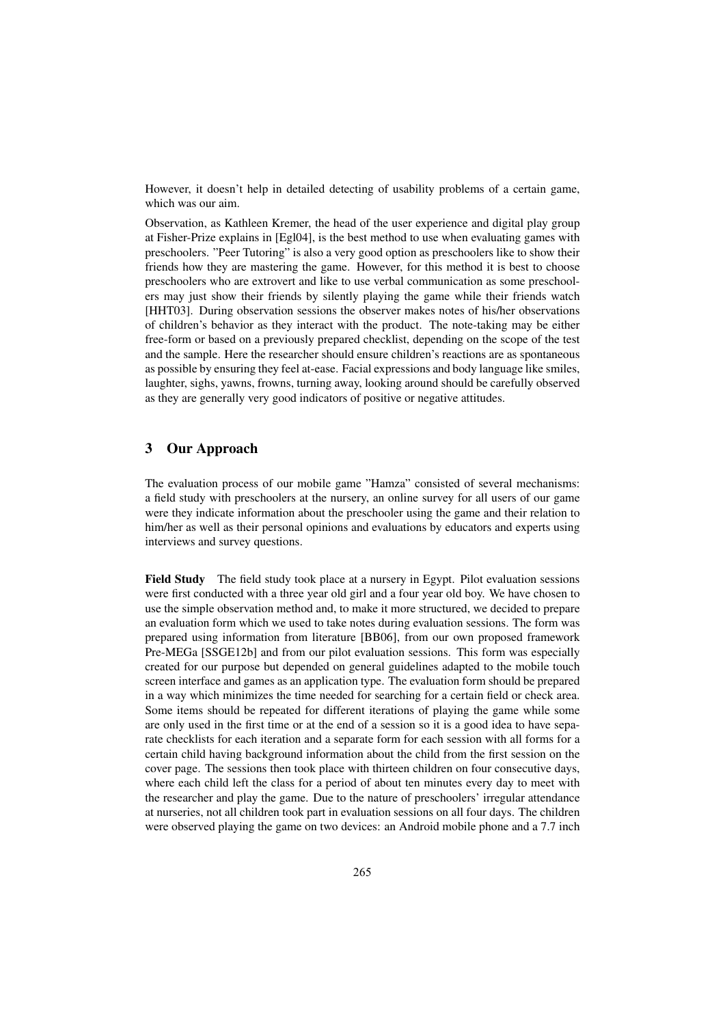However, it doesn't help in detailed detecting of usability problems of a certain game, which was our aim.

Observation, as Kathleen Kremer, the head of the user experience and digital play group at Fisher-Prize explains in [Egl04], is the best method to use when evaluating games with preschoolers. "Peer Tutoring" is also a very good option as preschoolers like to show their friends how they are mastering the game. However, for this method it is best to choose preschoolers who are extrovert and like to use verbal communication as some preschoolers may just show their friends by silently playing the game while their friends watch [HHT03]. During observation sessions the observer makes notes of his/her observations of children's behavior as they interact with the product. The note-taking may be either free-form or based on a previously prepared checklist, depending on the scope of the test and the sample. Here the researcher should ensure children's reactions are as spontaneous as possible by ensuring they feel at-ease. Facial expressions and body language like smiles, laughter, sighs, yawns, frowns, turning away, looking around should be carefully observed as they are generally very good indicators of positive or negative attitudes.

# 3 Our Approach

The evaluation process of our mobile game "Hamza" consisted of several mechanisms: a field study with preschoolers at the nursery, an online survey for all users of our game were they indicate information about the preschooler using the game and their relation to him/her as well as their personal opinions and evaluations by educators and experts using interviews and survey questions.

Field Study The field study took place at a nursery in Egypt. Pilot evaluation sessions were first conducted with a three year old girl and a four year old boy. We have chosen to use the simple observation method and, to make it more structured, we decided to prepare an evaluation form which we used to take notes during evaluation sessions. The form was prepared using information from literature [BB06], from our own proposed framework Pre-MEGa [SSGE12b] and from our pilot evaluation sessions. This form was especially created for our purpose but depended on general guidelines adapted to the mobile touch screen interface and games as an application type. The evaluation form should be prepared in a way which minimizes the time needed for searching for a certain field or check area. Some items should be repeated for different iterations of playing the game while some are only used in the first time or at the end of a session so it is a good idea to have separate checklists for each iteration and a separate form for each session with all forms for a certain child having background information about the child from the first session on the cover page. The sessions then took place with thirteen children on four consecutive days, where each child left the class for a period of about ten minutes every day to meet with the researcher and play the game. Due to the nature of preschoolers' irregular attendance at nurseries, not all children took part in evaluation sessions on all four days. The children were observed playing the game on two devices: an Android mobile phone and a 7.7 inch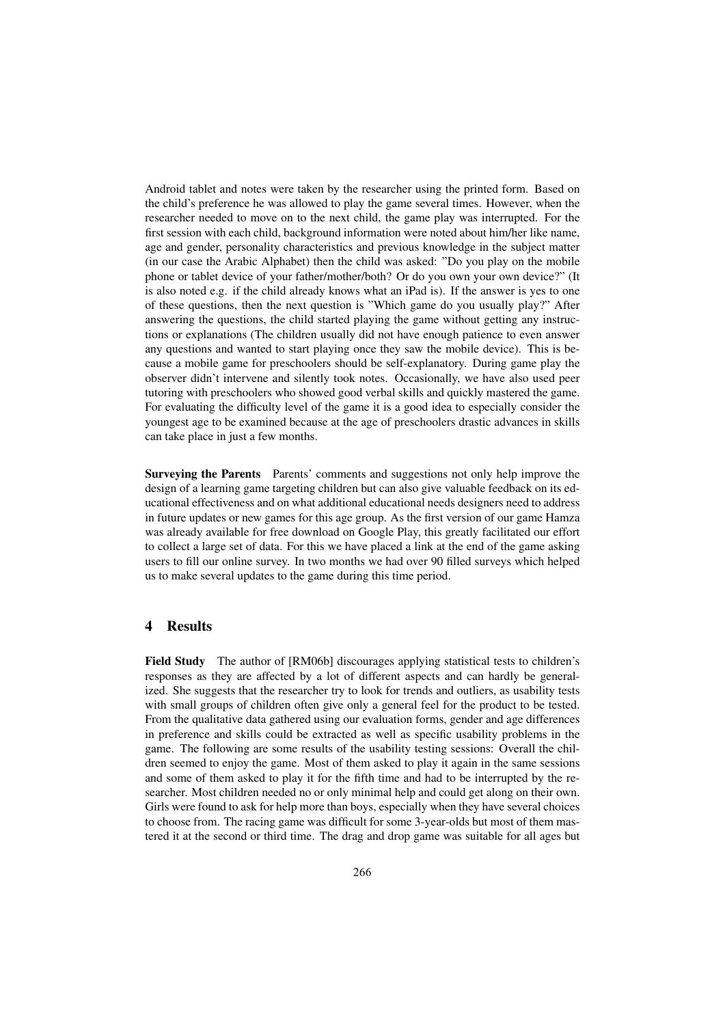Android tablet and notes were taken by the researcher using the printed form. Based on the child's preference he was allowed to play the game several times. However, when the researcher needed to move on to the next child, the game play was interrupted. For the first session with each child, background information were noted about him/her like name, age and gender, personality characteristics and previous knowledge in the subject matter (in our case the Arabic Alphabet) then the child was asked: "Do you play on the mobile phone or tablet device of your father/mother/both? Or do you own your own device?" (It is also noted e.g. if the child already knows what an iPad is). If the answer is yes to one of these questions, then the next question is "Which game do you usually play?" After answering the questions, the child started playing the game without getting any instructions or explanations (The children usually did not have enough patience to even answer any questions and wanted to start playing once they saw the mobile device). This is because a mobile game for preschoolers should be self-explanatory. During game play the observer didn't intervene and silently took notes. Occasionally, we have also used peer tutoring with preschoolers who showed good verbal skills and quickly mastered the game. For evaluating the difficulty level of the game it is a good idea to especially consider the youngest age to be examined because at the age of preschoolers drastic advances in skills can take place in just a few months.

Surveying the Parents Parents' comments and suggestions not only help improve the design of a learning game targeting children but can also give valuable feedback on its educational effectiveness and on what additional educational needs designers need to address in future updates or new games for this age group. As the first version of our game Hamza was already available for free download on Google Play, this greatly facilitated our effort to collect a large set of data. For this we have placed a link at the end of the game asking users to fill our online survey. In two months we had over 90 filled surveys which helped us to make several updates to the game during this time period.

#### 4 Results

Field Study The author of [RM06b] discourages applying statistical tests to children's responses as they are affected by a lot of different aspects and can hardly be generalized. She suggests that the researcher try to look for trends and outliers, as usability tests with small groups of children often give only a general feel for the product to be tested. From the qualitative data gathered using our evaluation forms, gender and age differences in preference and skills could be extracted as well as specific usability problems in the game. The following are some results of the usability testing sessions: Overall the children seemed to enjoy the game. Most of them asked to play it again in the same sessions and some of them asked to play it for the fifth time and had to be interrupted by the researcher. Most children needed no or only minimal help and could get along on their own. Girls were found to ask for help more than boys, especially when they have several choices to choose from. The racing game was difficult for some 3-year-olds but most of them mastered it at the second or third time. The drag and drop game was suitable for all ages but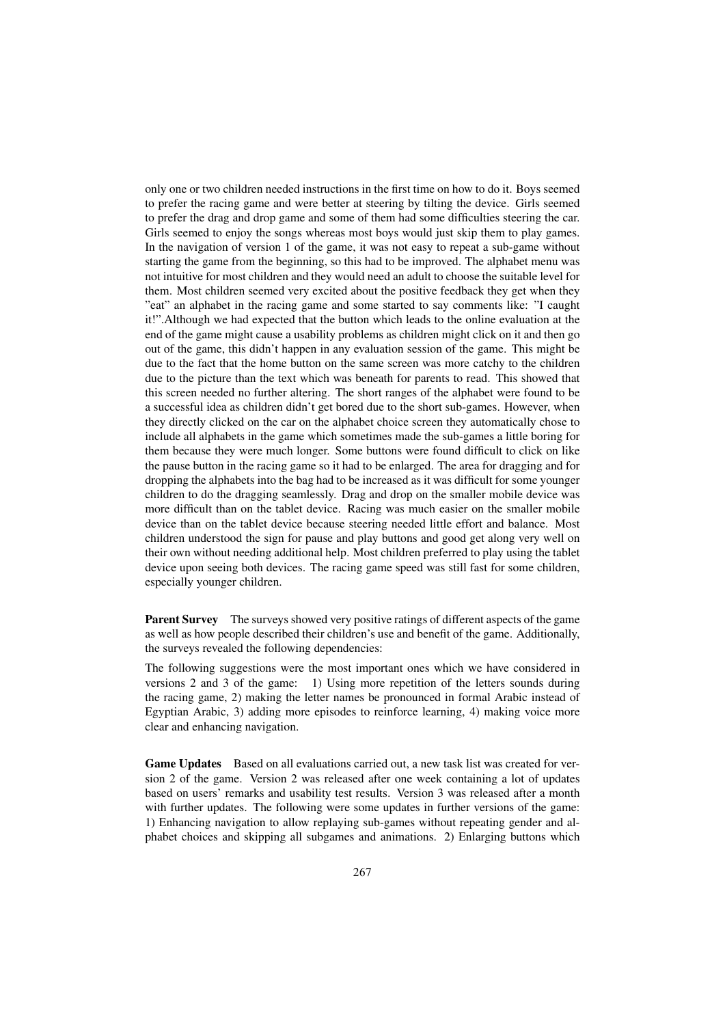only one or two children needed instructions in the first time on how to do it. Boys seemed to prefer the racing game and were better at steering by tilting the device. Girls seemed to prefer the drag and drop game and some of them had some difficulties steering the car. Girls seemed to enjoy the songs whereas most boys would just skip them to play games. In the navigation of version 1 of the game, it was not easy to repeat a sub-game without starting the game from the beginning, so this had to be improved. The alphabet menu was not intuitive for most children and they would need an adult to choose the suitable level for them. Most children seemed very excited about the positive feedback they get when they "eat" an alphabet in the racing game and some started to say comments like: "I caught it!".Although we had expected that the button which leads to the online evaluation at the end of the game might cause a usability problems as children might click on it and then go out of the game, this didn't happen in any evaluation session of the game. This might be due to the fact that the home button on the same screen was more catchy to the children due to the picture than the text which was beneath for parents to read. This showed that this screen needed no further altering. The short ranges of the alphabet were found to be a successful idea as children didn't get bored due to the short sub-games. However, when they directly clicked on the car on the alphabet choice screen they automatically chose to include all alphabets in the game which sometimes made the sub-games a little boring for them because they were much longer. Some buttons were found difficult to click on like the pause button in the racing game so it had to be enlarged. The area for dragging and for dropping the alphabets into the bag had to be increased as it was difficult for some younger children to do the dragging seamlessly. Drag and drop on the smaller mobile device was more difficult than on the tablet device. Racing was much easier on the smaller mobile device than on the tablet device because steering needed little effort and balance. Most children understood the sign for pause and play buttons and good get along very well on their own without needing additional help. Most children preferred to play using the tablet device upon seeing both devices. The racing game speed was still fast for some children, especially younger children.

Parent Survey The surveys showed very positive ratings of different aspects of the game as well as how people described their children's use and benefit of the game. Additionally, the surveys revealed the following dependencies:

The following suggestions were the most important ones which we have considered in versions 2 and 3 of the game: 1) Using more repetition of the letters sounds during the racing game, 2) making the letter names be pronounced in formal Arabic instead of Egyptian Arabic, 3) adding more episodes to reinforce learning, 4) making voice more clear and enhancing navigation.

Game Updates Based on all evaluations carried out, a new task list was created for version 2 of the game. Version 2 was released after one week containing a lot of updates based on users' remarks and usability test results. Version 3 was released after a month with further updates. The following were some updates in further versions of the game: 1) Enhancing navigation to allow replaying sub-games without repeating gender and alphabet choices and skipping all subgames and animations. 2) Enlarging buttons which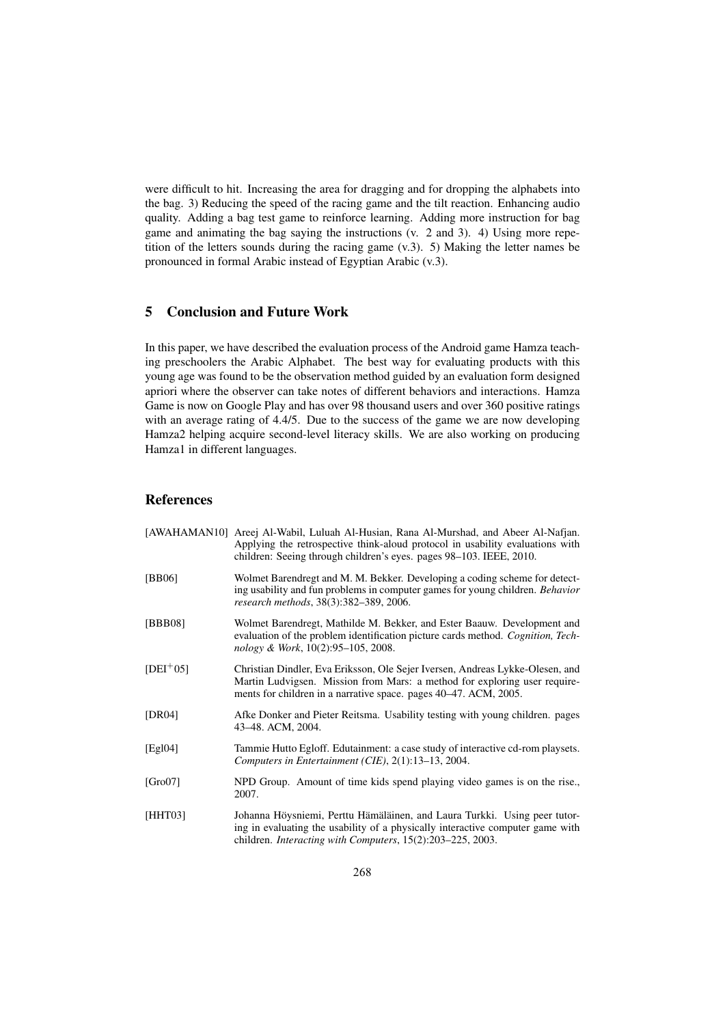were difficult to hit. Increasing the area for dragging and for dropping the alphabets into the bag. 3) Reducing the speed of the racing game and the tilt reaction. Enhancing audio quality. Adding a bag test game to reinforce learning. Adding more instruction for bag game and animating the bag saying the instructions (v. 2 and 3). 4) Using more repetition of the letters sounds during the racing game (v.3). 5) Making the letter names be pronounced in formal Arabic instead of Egyptian Arabic (v.3).

## 5 Conclusion and Future Work

In this paper, we have described the evaluation process of the Android game Hamza teaching preschoolers the Arabic Alphabet. The best way for evaluating products with this young age was found to be the observation method guided by an evaluation form designed apriori where the observer can take notes of different behaviors and interactions. Hamza Game is now on Google Play and has over 98 thousand users and over 360 positive ratings with an average rating of 4.4/5. Due to the success of the game we are now developing Hamza2 helping acquire second-level literacy skills. We are also working on producing Hamza1 in different languages.

# References

|             | [AWAHAMAN10] Areej Al-Wabil, Luluah Al-Husian, Rana Al-Murshad, and Abeer Al-Nafjan.<br>Applying the retrospective think-aloud protocol in usability evaluations with<br>children: Seeing through children's eyes. pages 98–103. IEEE, 2010. |
|-------------|----------------------------------------------------------------------------------------------------------------------------------------------------------------------------------------------------------------------------------------------|
| [BB06]      | Wolmet Barendregt and M. M. Bekker. Developing a coding scheme for detect-<br>ing usability and fun problems in computer games for young children. Behavior<br>research methods, 38(3):382-389, 2006.                                        |
| [BBB08]     | Wolmet Barendregt, Mathilde M. Bekker, and Ester Baauw. Development and<br>evaluation of the problem identification picture cards method. Cognition, Tech-<br>nology & Work, 10(2):95–105, 2008.                                             |
| $[DEI+05]$  | Christian Dindler, Eva Eriksson, Ole Sejer Iversen, Andreas Lykke-Olesen, and<br>Martin Ludvigsen. Mission from Mars: a method for exploring user require-<br>ments for children in a narrative space. pages 40–47. ACM, 2005.               |
| [DR04]      | Afke Donker and Pieter Reitsma. Usability testing with young children, pages<br>43-48. ACM, 2004.                                                                                                                                            |
| [Egl $04$ ] | Tammie Hutto Egloff. Edutainment: a case study of interactive cd-rom playsets.<br>Computers in Entertainment (CIE), 2(1):13-13, 2004.                                                                                                        |
| [Gro07]     | NPD Group. Amount of time kids spend playing video games is on the rise.,<br>2007.                                                                                                                                                           |
| [HHT03]     | Johanna Höysniemi, Perttu Hämäläinen, and Laura Turkki. Using peer tutor-<br>ing in evaluating the usability of a physically interactive computer game with<br>children. Interacting with Computers, 15(2):203-225, 2003.                    |